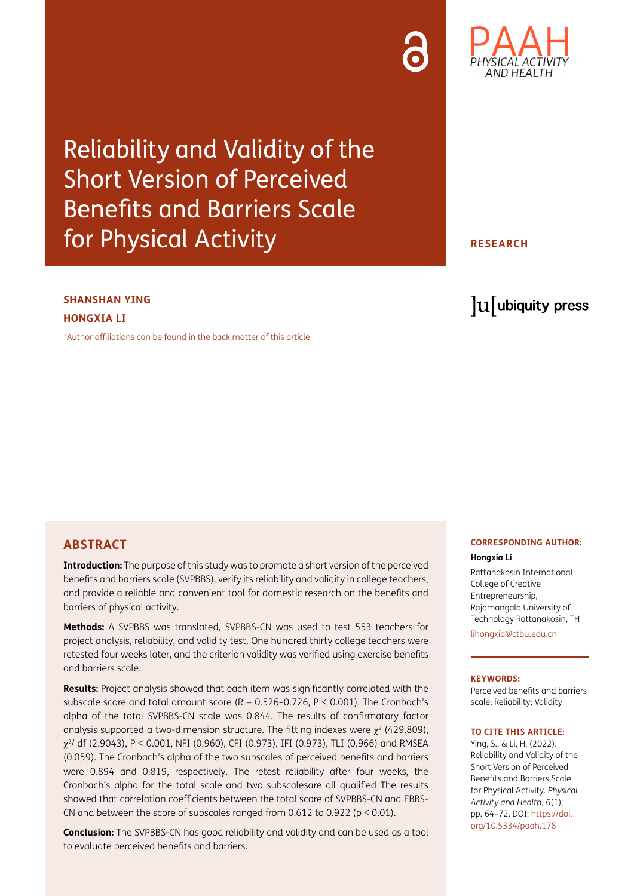## Reliability and Validity of the Short Version of Perceived Benefits and Barriers Scale for Physical Activity

#### **SHANSHAN YING HONGXIA LI**

[\\*Author affiliations can be found in the back matter of this article](#page-7-0)

#### **ABSTRACT**

**Introduction:** The purpose of this study was to promote a short version of the perceived benefits and barriers scale (SVPBBS), verify its reliability and validity in college teachers, and provide a reliable and convenient tool for domestic research on the benefits and barriers of physical activity.

**Methods:** A SVPBBS was translated, SVPBBS-CN was used to test 553 teachers for project analysis, reliability, and validity test. One hundred thirty college teachers were retested four weeks later, and the criterion validity was verified using exercise benefits and barriers scale.

**Results:** Project analysis showed that each item was significantly correlated with the subscale score and total amount score ( $R = 0.526 - 0.726$ ,  $P < 0.001$ ). The Cronbach's alpha of the total SVPBBS-CN scale was 0.844. The results of confirmatory factor analysis supported a two-dimension structure. The fitting indexes were  $\chi^2$  (429.809),  $\chi^2$ / df (2.9043), P < 0.001, NFI (0.960), CFI (0.973), IFI (0.973), TLI (0.966) and RMSEA (0.059). The Cronbach's alpha of the two subscales of perceived benefits and barriers were 0.894 and 0.819, respectively. The retest reliability after four weeks, the Cronbach's alpha for the total scale and two subscalesare all qualified The results showed that correlation coefficients between the total score of SVPBBS-CN and EBBS-CN and between the score of subscales ranged from 0.612 to 0.922 (p < 0.01).

**Conclusion:** The SVPBBS-CN has good reliability and validity and can be used as a tool to evaluate perceived benefits and barriers.

### **CORRESPONDING AUTHOR:**

**Hongxia Li**

Rattanakosin International College of Creative Entrepreneurship, Rajamangala University of Technology Rattanakosin, TH

[lihongxia@ctbu.edu.cn](mailto:lihongxia@ctbu.edu.cn)

#### **KEYWORDS:**

Perceived benefits and barriers scale; Reliability; Validity

#### **TO CITE THIS ARTICLE:**

Ying, S., & Li, H. (2022). Reliability and Validity of the Short Version of Perceived Benefits and Barriers Scale for Physical Activity. *Physical Activity and Health*, 6(1), pp. 64–72. DOI: [https://doi.](https://doi.org/10.5334/paah.178) [org/10.5334/paah.178](https://doi.org/10.5334/paah.178)



#### **RESEARCH**

lu ubiquity press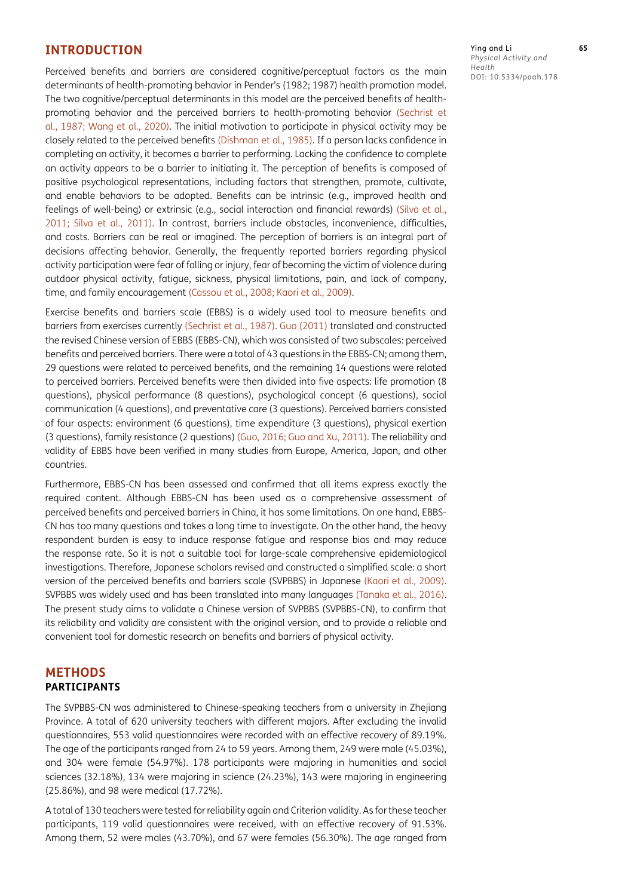#### **INTRODUCTION**

Perceived benefits and barriers are considered cognitive/perceptual factors as the main determinants of health-promoting behavior in Pender's (1982; 1987) health promotion model. The two cognitive/perceptual determinants in this model are the perceived benefits of healthpromoting behavior and the perceived barriers to health-promoting behavior [\(Sechrist et](#page-8-0)  [al., 1987;](#page-8-0) [Wang et al., 2020](#page-8-1)). The initial motivation to participate in physical activity may be closely related to the perceived benefits ([Dishman et al., 1985\)](#page-7-1). If a person lacks confidence in completing an activity, it becomes a barrier to performing. Lacking the confidence to complete an activity appears to be a barrier to initiating it. The perception of benefits is composed of positive psychological representations, including factors that strengthen, promote, cultivate, and enable behaviors to be adopted. Benefits can be intrinsic (e.g., improved health and feelings of well-being) or extrinsic (e.g., social interaction and financial rewards) [\(Silva et al.,](#page-8-2)  [2011](#page-8-2); [Silva et al., 2011\)](#page-8-2). In contrast, barriers include obstacles, inconvenience, difficulties, and costs. Barriers can be real or imagined. The perception of barriers is an integral part of decisions affecting behavior. Generally, the frequently reported barriers regarding physical activity participation were fear of falling or injury, fear of becoming the victim of violence during outdoor physical activity, fatigue, sickness, physical limitations, pain, and lack of company, time, and family encouragement (Cassou et al., 2008; [Kaori et al., 2009\)](#page-7-2).

Exercise benefits and barriers scale (EBBS) is a widely used tool to measure benefits and barriers from exercises currently [\(Sechrist et al., 1987](#page-8-0)). [Guo \(2011\) t](#page-7-3)ranslated and constructed the revised Chinese version of EBBS (EBBS-CN), which was consisted of two subscales: perceived benefits and perceived barriers. There were a total of 43 questions in the EBBS-CN; among them, 29 questions were related to perceived benefits, and the remaining 14 questions were related to perceived barriers. Perceived benefits were then divided into five aspects: life promotion (8 questions), physical performance (8 questions), psychological concept (6 questions), social communication (4 questions), and preventative care (3 questions). Perceived barriers consisted of four aspects: environment (6 questions), time expenditure (3 questions), physical exertion (3 questions), family resistance (2 questions) ([Guo, 2016;](#page-7-4) [Guo and Xu, 2011\)](#page-7-3). The reliability and validity of EBBS have been verified in many studies from Europe, America, Japan, and other countries.

Furthermore, EBBS-CN has been assessed and confirmed that all items express exactly the required content. Although EBBS-CN has been used as a comprehensive assessment of perceived benefits and perceived barriers in China, it has some limitations. On one hand, EBBS-CN has too many questions and takes a long time to investigate. On the other hand, the heavy respondent burden is easy to induce response fatigue and response bias and may reduce the response rate. So it is not a suitable tool for large-scale comprehensive epidemiological investigations. Therefore, Japanese scholars revised and constructed a simplified scale: a short version of the perceived benefits and barriers scale (SVPBBS) in Japanese ([Kaori et al., 2009](#page-7-2)). SVPBBS was widely used and has been translated into many languages [\(Tanaka et al., 2016](#page-8-3)). The present study aims to validate a Chinese version of SVPBBS (SVPBBS-CN), to confirm that its reliability and validity are consistent with the original version, and to provide a reliable and convenient tool for domestic research on benefits and barriers of physical activity.

#### **METHODS PARTICIPANTS**

The SVPBBS-CN was administered to Chinese-speaking teachers from a university in Zhejiang Province. A total of 620 university teachers with different majors. After excluding the invalid questionnaires, 553 valid questionnaires were recorded with an effective recovery of 89.19%. The age of the participants ranged from 24 to 59 years. Among them, 249 were male (45.03%), and 304 were female (54.97%). 178 participants were majoring in humanities and social sciences (32.18%), 134 were majoring in science (24.23%), 143 were majoring in engineering (25.86%), and 98 were medical (17.72%).

A total of 130 teachers were tested for reliability again and Criterion validity. As for these teacher participants, 119 valid questionnaires were received, with an effective recovery of 91.53%. Among them, 52 were males (43.70%), and 67 were females (56.30%). The age ranged from Ying and Li **65** *Physical Activity and Health* DOI: 10.5334/paah.178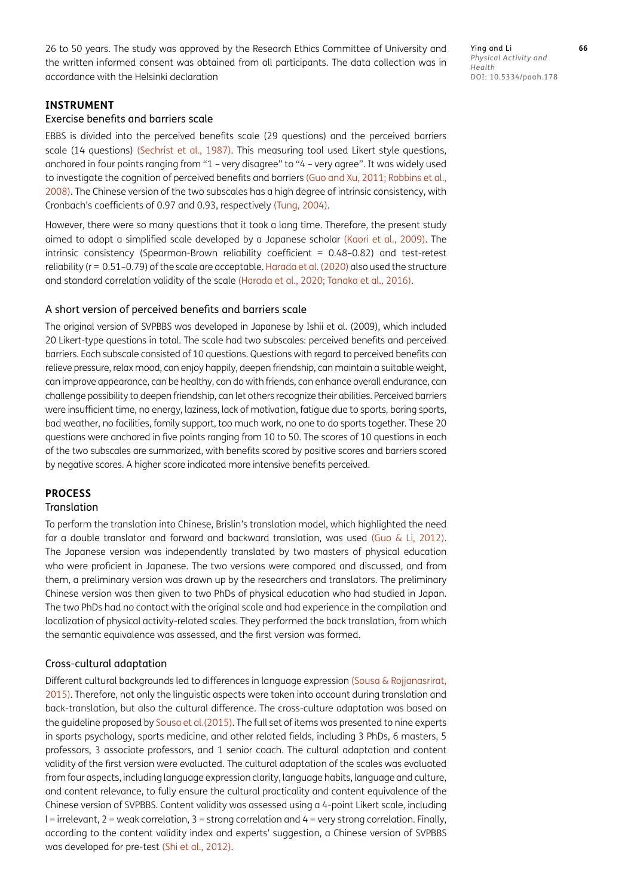26 to 50 years. The study was approved by the Research Ethics Committee of University and the written informed consent was obtained from all participants. The data collection was in accordance with the Helsinki declaration

Ying and Li **66** *Physical Activity and Health* DOI: 10.5334/paah.178

#### **INSTRUMENT**

#### Exercise benefits and barriers scale

EBBS is divided into the perceived benefits scale (29 questions) and the perceived barriers scale (14 questions) ([Sechrist et al., 1987](#page-8-0)). This measuring tool used Likert style questions, anchored in four points ranging from "1 – very disagree" to "4 – very agree". It was widely used to investigate the cognition of perceived benefits and barriers [\(Guo and Xu, 2011;](#page-7-3) [Robbins et al.,](#page-8-4)  [2008](#page-8-4)). The Chinese version of the two subscales has a high degree of intrinsic consistency, with Cronbach's coefficients of 0.97 and 0.93, respectively ([Tung, 2004\)](#page-8-5).

However, there were so many questions that it took a long time. Therefore, the present study aimed to adopt a simplified scale developed by a Japanese scholar ([Kaori et al., 2009](#page-7-2)). The intrinsic consistency (Spearman-Brown reliability coefficient = 0.48–0.82) and test-retest reliability (r = 0.51-0.79) of the scale are acceptable. [Harada et al. \(2020\)](#page-7-5) also used the structure and standard correlation validity of the scale ([Harada et al., 2020](#page-7-5); [Tanaka et al., 2016](#page-8-3)).

#### A short version of perceived benefits and barriers scale

The original version of SVPBBS was developed in Japanese by Ishii et al. (2009), which included 20 Likert-type questions in total. The scale had two subscales: perceived benefits and perceived barriers. Each subscale consisted of 10 questions. Questions with regard to perceived benefits can relieve pressure, relax mood, can enjoy happily, deepen friendship, can maintain a suitable weight, can improve appearance, can be healthy, can do with friends, can enhance overall endurance, can challenge possibility to deepen friendship, can let others recognize their abilities. Perceived barriers were insufficient time, no energy, laziness, lack of motivation, fatigue due to sports, boring sports, bad weather, no facilities, family support, too much work, no one to do sports together. These 20 questions were anchored in five points ranging from 10 to 50. The scores of 10 questions in each of the two subscales are summarized, with benefits scored by positive scores and barriers scored by negative scores. A higher score indicated more intensive benefits perceived.

#### **PROCESS**

#### **Translation**

To perform the translation into Chinese, Brislin's translation model, which highlighted the need for a double translator and forward and backward translation, was used ([Guo & Li, 2012](#page-7-6)). The Japanese version was independently translated by two masters of physical education who were proficient in Japanese. The two versions were compared and discussed, and from them, a preliminary version was drawn up by the researchers and translators. The preliminary Chinese version was then given to two PhDs of physical education who had studied in Japan. The two PhDs had no contact with the original scale and had experience in the compilation and localization of physical activity-related scales. They performed the back translation, from which the semantic equivalence was assessed, and the first version was formed.

#### Cross-cultural adaptation

Different cultural backgrounds led to differences in language expression ([Sousa & Rojjanasrirat,](#page-8-6)  [2015](#page-8-6)). Therefore, not only the linguistic aspects were taken into account during translation and back-translation, but also the cultural difference. The cross-culture adaptation was based on the guideline proposed by [Sousa et al.\(2015\)](#page-8-6). The full set of items was presented to nine experts in sports psychology, sports medicine, and other related fields, including 3 PhDs, 6 masters, 5 professors, 3 associate professors, and 1 senior coach. The cultural adaptation and content validity of the first version were evaluated. The cultural adaptation of the scales was evaluated from four aspects, including language expression clarity, language habits, language and culture, and content relevance, to fully ensure the cultural practicality and content equivalence of the Chinese version of SVPBBS. Content validity was assessed using a 4-point Likert scale, including l = irrelevant, 2 = weak correlation, 3 = strong correlation and 4 = very strong correlation. Finally, according to the content validity index and experts' suggestion, a Chinese version of SVPBBS was developed for pre-test [\(Shi et al., 2012](#page-8-7)).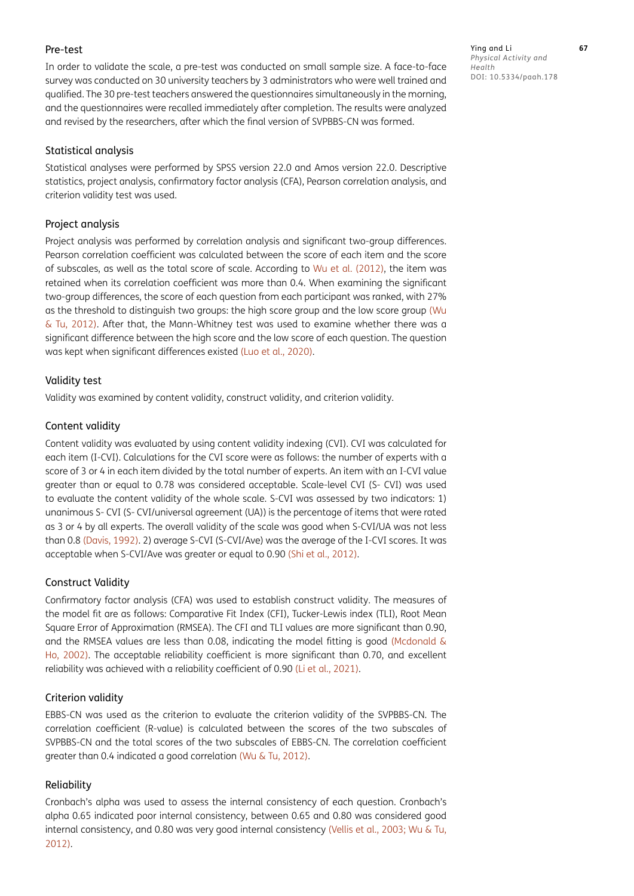#### Pre-test

In order to validate the scale, a pre-test was conducted on small sample size. A face-to-face survey was conducted on 30 university teachers by 3 administrators who were well trained and qualified. The 30 pre-test teachers answered the questionnaires simultaneously in the morning, and the questionnaires were recalled immediately after completion. The results were analyzed and revised by the researchers, after which the final version of SVPBBS-CN was formed.

#### Statistical analysis

Statistical analyses were performed by SPSS version 22.0 and Amos version 22.0. Descriptive statistics, project analysis, confirmatory factor analysis (CFA), Pearson correlation analysis, and criterion validity test was used.

#### Project analysis

Project analysis was performed by correlation analysis and significant two-group differences. Pearson correlation coefficient was calculated between the score of each item and the score of subscales, as well as the total score of scale. According to [Wu et al. \(2012\),](#page-8-8) the item was retained when its correlation coefficient was more than 0.4. When examining the significant two-group differences, the score of each question from each participant was ranked, with 27% as the threshold to distinguish two groups: the high score group and the low score group [\(Wu](#page-8-8)  [& Tu, 2012\)](#page-8-8). After that, the Mann-Whitney test was used to examine whether there was a significant difference between the high score and the low score of each question. The question was kept when significant differences existed ([Luo et al., 2020\)](#page-7-7).

#### Validity test

Validity was examined by content validity, construct validity, and criterion validity.

#### Content validity

Content validity was evaluated by using content validity indexing (CVI). CVI was calculated for each item (I-CVI). Calculations for the CVI score were as follows: the number of experts with a score of 3 or 4 in each item divided by the total number of experts. An item with an I-CVI value greater than or equal to 0.78 was considered acceptable. Scale-level CVI (S- CVI) was used to evaluate the content validity of the whole scale. S-CVI was assessed by two indicators: 1) unanimous S- CVI (S- CVI/universal agreement (UA)) is the percentage of items that were rated as 3 or 4 by all experts. The overall validity of the scale was good when S-CVI/UA was not less than 0.8 ([Davis, 1992\)](#page-7-8). 2) average S-CVI (S-CVI/Ave) was the average of the I-CVI scores. It was acceptable when S-CVI/Ave was greater or equal to 0.90 [\(Shi et al., 2012](#page-8-7)).

#### Construct Validity

Confirmatory factor analysis (CFA) was used to establish construct validity. The measures of the model fit are as follows: Comparative Fit Index (CFI), Tucker-Lewis index (TLI), Root Mean Square Error of Approximation (RMSEA). The CFI and TLI values are more significant than 0.90, and the RMSEA values are less than 0.08, indicating the model fitting is good [\(Mcdonald &](#page-7-9)  [Ho, 2002\)](#page-7-9). The acceptable reliability coefficient is more significant than 0.70, and excellent reliability was achieved with a reliability coefficient of 0.90 [\(Li et al., 2021\)](#page-7-10).

#### Criterion validity

EBBS-CN was used as the criterion to evaluate the criterion validity of the SVPBBS-CN. The correlation coefficient (R-value) is calculated between the scores of the two subscales of SVPBBS-CN and the total scores of the two subscales of EBBS-CN. The correlation coefficient greater than 0.4 indicated a good correlation ([Wu & Tu, 2012](#page-8-8)).

#### Reliability

Cronbach's alpha was used to assess the internal consistency of each question. Cronbach's alpha 0.65 indicated poor internal consistency, between 0.65 and 0.80 was considered good internal consistency, and 0.80 was very good internal consistency [\(Vellis et al., 2003](#page-8-9); [Wu & Tu,](#page-8-8)  [2012](#page-8-8)).

Ying and Li **67** *Physical Activity and Health* DOI: 10.5334/paah.178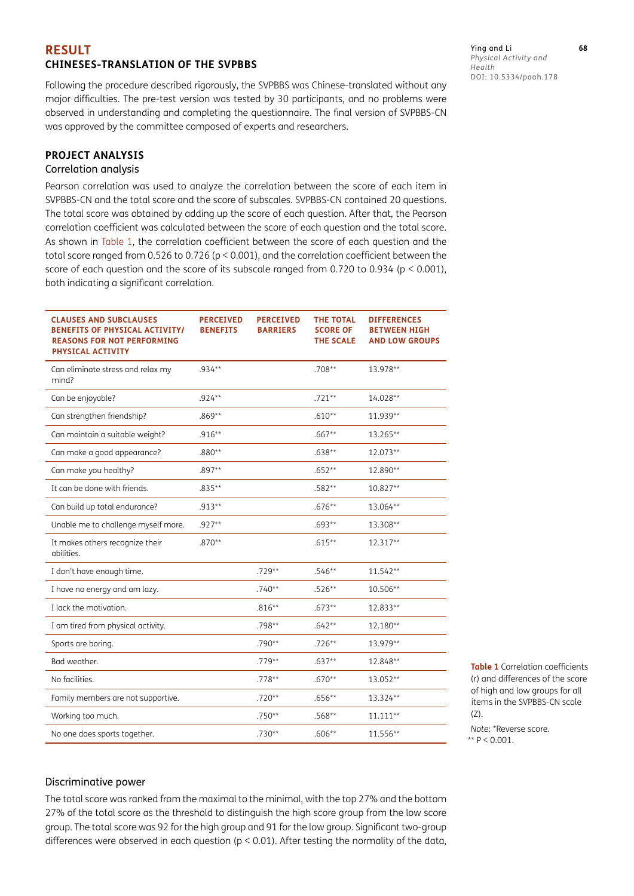#### **RESULT CHINESES-TRANSLATION OF THE SVPBBS**

Following the procedure described rigorously, the SVPBBS was Chinese-translated without any major difficulties. The pre-test version was tested by 30 participants, and no problems were observed in understanding and completing the questionnaire. The final version of SVPBBS-CN was approved by the committee composed of experts and researchers.

#### **PROJECT ANALYSIS**

#### Correlation analysis

Pearson correlation was used to analyze the correlation between the score of each item in SVPBBS-CN and the total score and the score of subscales. SVPBBS-CN contained 20 questions. The total score was obtained by adding up the score of each question. After that, the Pearson correlation coefficient was calculated between the score of each question and the total score. As shown in [Table 1](#page-4-0), the correlation coefficient between the score of each question and the total score ranged from 0.526 to 0.726 (p < 0.001), and the correlation coefficient between the score of each question and the score of its subscale ranged from 0.720 to 0.934 (p < 0.001), both indicating a significant correlation.

| <b>CLAUSES AND SUBCLAUSES</b><br><b>BENEFITS OF PHYSICAL ACTIVITY/</b><br><b>REASONS FOR NOT PERFORMING</b><br>PHYSICAL ACTIVITY | <b>PERCEIVED</b><br><b>BENEFITS</b> | <b>PERCEIVED</b><br><b>BARRIERS</b> | <b>THE TOTAL</b><br><b>SCORE OF</b><br><b>THE SCALE</b> | <b>DIFFERENCES</b><br><b>BETWEEN HIGH</b><br><b>AND LOW GROUPS</b> |
|----------------------------------------------------------------------------------------------------------------------------------|-------------------------------------|-------------------------------------|---------------------------------------------------------|--------------------------------------------------------------------|
| Can eliminate stress and relax my<br>mind?                                                                                       | .934**                              |                                     | $.708**$                                                | 13.978**                                                           |
| Can be enjoyable?                                                                                                                | $.924***$                           |                                     | $.721**$                                                | 14.028**                                                           |
| Can strengthen friendship?                                                                                                       | $.869**$                            |                                     | $.610**$                                                | 11.939**                                                           |
| Can maintain a suitable weight?                                                                                                  | $.916**$                            |                                     | $.667**$                                                | 13.265**                                                           |
| Can make a good appearance?                                                                                                      | $.880**$                            |                                     | $.638**$                                                | 12.073**                                                           |
| Can make you healthy?                                                                                                            | $.897**$                            |                                     | $.652**$                                                | 12.890**                                                           |
| It can be done with friends.                                                                                                     | $.835**$                            |                                     | $.582**$                                                | $10.827**$                                                         |
| Can build up total endurance?                                                                                                    | $.913**$                            |                                     | $.676**$                                                | 13.064**                                                           |
| Unable me to challenge myself more.                                                                                              | $.927**$                            |                                     | $.693**$                                                | 13.308**                                                           |
| It makes others recognize their<br>abilities.                                                                                    | $.870**$                            |                                     | $.615**$                                                | 12.317**                                                           |
| I don't have enough time.                                                                                                        |                                     | $.729**$                            | $.546**$                                                | $11.542**$                                                         |
| I have no energy and am lazy.                                                                                                    |                                     | $.740**$                            | $.526**$                                                | 10.506**                                                           |
| I lack the motivation.                                                                                                           |                                     | $.816**$                            | $.673**$                                                | 12.833**                                                           |
| I am tired from physical activity.                                                                                               |                                     | .798**                              | $.642**$                                                | 12.180**                                                           |
| Sports are boring.                                                                                                               |                                     | $.790**$                            | $.726**$                                                | 13.979**                                                           |
| Bad weather.                                                                                                                     |                                     | $.779**$                            | $.637**$                                                | 12.848**                                                           |
| No facilities.                                                                                                                   |                                     | $.778**$                            | $.670**$                                                | 13.052**                                                           |
| Family members are not supportive.                                                                                               |                                     | $.720**$                            | $.656**$                                                | 13.324**                                                           |
| Working too much.                                                                                                                |                                     | $.750**$                            | $.568**$                                                | $11.111**$                                                         |
| No one does sports together.                                                                                                     |                                     | $.730**$                            | $.606**$                                                | 11.556**                                                           |

Ying and Li **68** *Physical Activity and Health* DOI: 10.5334/paah.178

<span id="page-4-0"></span>**Table 1** Correlation coefficients (r) and differences of the score of high and low groups for all items in the SVPBBS-CN scale  $(7)$ .

*Note*: \*Reverse score. \*\*  $P < 0.001$ .

#### Discriminative power

The total score was ranked from the maximal to the minimal, with the top 27% and the bottom 27% of the total score as the threshold to distinguish the high score group from the low score group. The total score was 92 for the high group and 91 for the low group. Significant two-group differences were observed in each question (p < 0.01). After testing the normality of the data,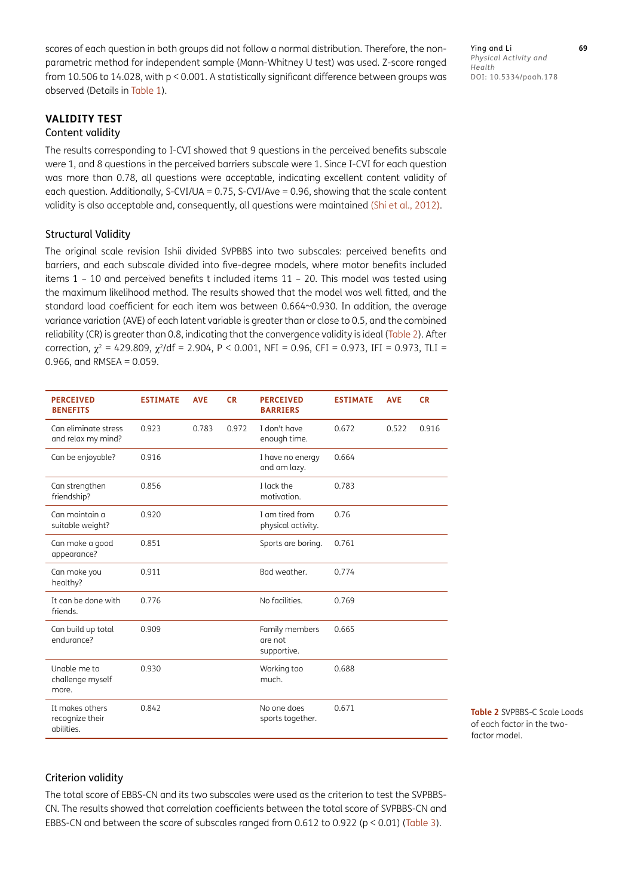scores of each question in both groups did not follow a normal distribution. Therefore, the nonparametric method for independent sample (Mann-Whitney U test) was used. Z-score ranged from 10.506 to 14.028, with p < 0.001. A statistically significant difference between groups was observed (Details in [Table 1\)](#page-4-0).

Ying and Li **69** *Physical Activity and Health* DOI: 10.5334/paah.178

#### **VALIDITY TEST** Content validity

The results corresponding to I-CVI showed that 9 questions in the perceived benefits subscale were 1, and 8 questions in the perceived barriers subscale were 1. Since I-CVI for each question was more than 0.78, all questions were acceptable, indicating excellent content validity of each question. Additionally, S-CVI/UA = 0.75, S-CVI/Ave = 0.96, showing that the scale content validity is also acceptable and, consequently, all questions were maintained [\(Shi et al., 2012](#page-8-7)).

#### Structural Validity

The original scale revision Ishii divided SVPBBS into two subscales: perceived benefits and barriers, and each subscale divided into five-degree models, where motor benefits included items 1 – 10 and perceived benefits t included items 11 – 20. This model was tested using the maximum likelihood method. The results showed that the model was well fitted, and the standard load coefficient for each item was between 0.664~0.930. In addition, the average variance variation (AVE) of each latent variable is greater than or close to 0.5, and the combined reliability (CR) is greater than 0.8, indicating that the convergence validity is ideal ([Table 2\)](#page-5-0). After correction,  $\chi^2 = 429.809$ ,  $\chi^2$ /df = 2.904, P < 0.001, NFI = 0.96, CFI = 0.973, IFI = 0.973, TLI = 0.966, and RMSEA =  $0.059$ .

| <b>PERCEIVED</b><br><b>BENEFITS</b>              | <b>ESTIMATE</b> | <b>AVE</b> | <b>CR</b> | <b>PERCEIVED</b><br><b>BARRIERS</b>      | <b>ESTIMATE</b> | <b>AVE</b> | <b>CR</b> |
|--------------------------------------------------|-----------------|------------|-----------|------------------------------------------|-----------------|------------|-----------|
| Can eliminate stress<br>and relax my mind?       | 0.923           | 0.783      | 0.972     | I don't have<br>enough time.             | 0.672           | 0.522      | 0.916     |
| Can be enjoyable?                                | 0.916           |            |           | I have no energy<br>and am lazy.         | 0.664           |            |           |
| Can strengthen<br>friendship?                    | 0.856           |            |           | I lack the<br>motivation.                | 0.783           |            |           |
| Can maintain a<br>suitable weight?               | 0.920           |            |           | I am tired from<br>physical activity.    | 0.76            |            |           |
| Can make a good<br>appearance?                   | 0.851           |            |           | Sports are boring.                       | 0.761           |            |           |
| Can make you<br>healthy?                         | 0.911           |            |           | Bad weather.                             | 0.774           |            |           |
| It can be done with<br>friends.                  | 0.776           |            |           | No facilities.                           | 0.769           |            |           |
| Can build up total<br>endurance?                 | 0.909           |            |           | Family members<br>are not<br>supportive. | 0.665           |            |           |
| Unable me to<br>challenge myself<br>more.        | 0.930           |            |           | Working too<br>much.                     | 0.688           |            |           |
| It makes others<br>recognize their<br>abilities. | 0.842           |            |           | No one does<br>sports together.          | 0.671           |            |           |

<span id="page-5-0"></span>**Table 2 SVPBBS-C Scale Loads** of each factor in the twofactor model.

#### Criterion validity

The total score of EBBS-CN and its two subscales were used as the criterion to test the SVPBBS-CN. The results showed that correlation coefficients between the total score of SVPBBS-CN and EBBS-CN and between the score of subscales ranged from 0.612 to 0.922 (p < 0.01) [\(Table 3\)](#page-6-0).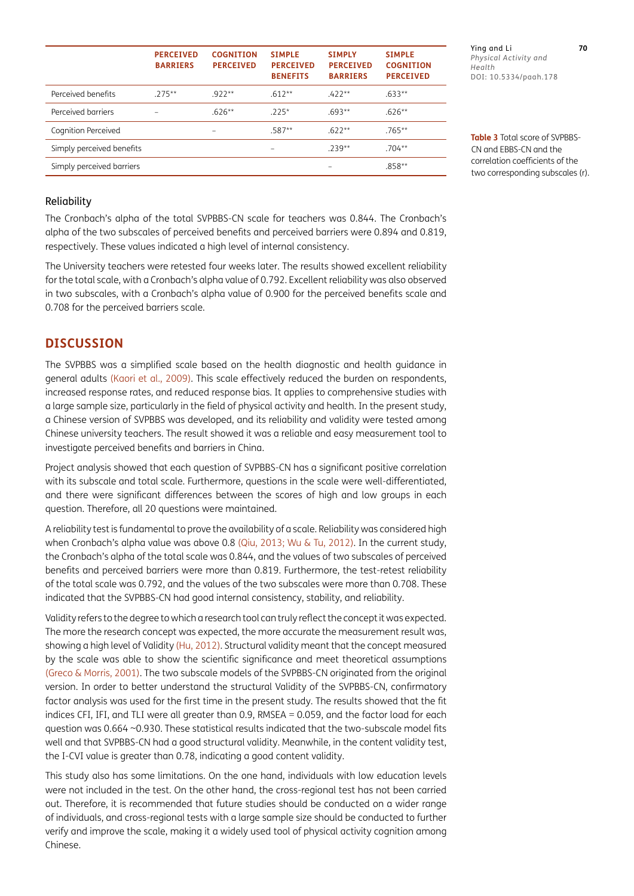|                           | <b>PERCEIVED</b><br><b>BARRIERS</b> | <b>COGNITION</b><br><b>PERCEIVED</b> | <b>SIMPLE</b><br><b>PERCEIVED</b><br><b>BENEFITS</b> | <b>SIMPLY</b><br><b>PERCEIVED</b><br><b>BARRIERS</b> | <b>SIMPLE</b><br><b>COGNITION</b><br><b>PERCEIVED</b> |
|---------------------------|-------------------------------------|--------------------------------------|------------------------------------------------------|------------------------------------------------------|-------------------------------------------------------|
| Perceived benefits        | $275**$                             | $922**$                              | $.612**$                                             | $422**$                                              | $.633**$                                              |
| Perceived barriers        |                                     | $.626**$                             | $.225*$                                              | $.693**$                                             | $.626**$                                              |
| Cognition Perceived       |                                     |                                      | $.587**$                                             | $622**$                                              | $.765**$                                              |
| Simply perceived benefits |                                     |                                      |                                                      | $739**$                                              | $.704***$                                             |
| Simply perceived barriers |                                     |                                      |                                                      |                                                      | $.858**$                                              |

Reliability

The Cronbach's alpha of the total SVPBBS-CN scale for teachers was 0.844. The Cronbach's alpha of the two subscales of perceived benefits and perceived barriers were 0.894 and 0.819, respectively. These values indicated a high level of internal consistency.

The University teachers were retested four weeks later. The results showed excellent reliability for the total scale, with a Cronbach's alpha value of 0.792. Excellent reliability was also observed in two subscales, with a Cronbach's alpha value of 0.900 for the perceived benefits scale and 0.708 for the perceived barriers scale.

#### **DISCUSSION**

The SVPBBS was a simplified scale based on the health diagnostic and health guidance in general adults ([Kaori et al., 2009](#page-7-2)). This scale effectively reduced the burden on respondents, increased response rates, and reduced response bias. It applies to comprehensive studies with a large sample size, particularly in the field of physical activity and health. In the present study, a Chinese version of SVPBBS was developed, and its reliability and validity were tested among Chinese university teachers. The result showed it was a reliable and easy measurement tool to investigate perceived benefits and barriers in China.

Project analysis showed that each question of SVPBBS-CN has a significant positive correlation with its subscale and total scale. Furthermore, questions in the scale were well-differentiated, and there were significant differences between the scores of high and low groups in each question. Therefore, all 20 questions were maintained.

A reliability test is fundamental to prove the availability of a scale. Reliability was considered high when Cronbach's alpha value was above 0.8 [\(Qiu, 2013](#page-7-11); [Wu & Tu, 2012](#page-8-8)). In the current study, the Cronbach's alpha of the total scale was 0.844, and the values of two subscales of perceived benefits and perceived barriers were more than 0.819. Furthermore, the test-retest reliability of the total scale was 0.792, and the values of the two subscales were more than 0.708. These indicated that the SVPBBS-CN had good internal consistency, stability, and reliability.

Validity refers to the degree to which a research tool can truly reflect the concept it was expected. The more the research concept was expected, the more accurate the measurement result was, showing a high level of Validity [\(Hu, 2012\)](#page-7-12). Structural validity meant that the concept measured by the scale was able to show the scientific significance and meet theoretical assumptions [\(Greco & Morris, 2001](#page-7-13)). The two subscale models of the SVPBBS-CN originated from the original version. In order to better understand the structural Validity of the SVPBBS-CN, confirmatory factor analysis was used for the first time in the present study. The results showed that the fit indices CFI, IFI, and TLI were all greater than 0.9, RMSEA = 0.059, and the factor load for each question was 0.664  $\sim$ 0.930. These statistical results indicated that the two-subscale model fits well and that SVPBBS-CN had a good structural validity. Meanwhile, in the content validity test, the I-CVI value is greater than 0.78, indicating a good content validity.

This study also has some limitations. On the one hand, individuals with low education levels were not included in the test. On the other hand, the cross-regional test has not been carried out. Therefore, it is recommended that future studies should be conducted on a wider range of individuals, and cross-regional tests with a large sample size should be conducted to further verify and improve the scale, making it a widely used tool of physical activity cognition among Chinese.

Ying and Li **70** *Physical Activity and Health* DOI: 10.5334/paah.178

<span id="page-6-0"></span>**Table 3** Total score of SVPBBS-CN and EBBS-CN and the correlation coefficients of the two corresponding subscales (r).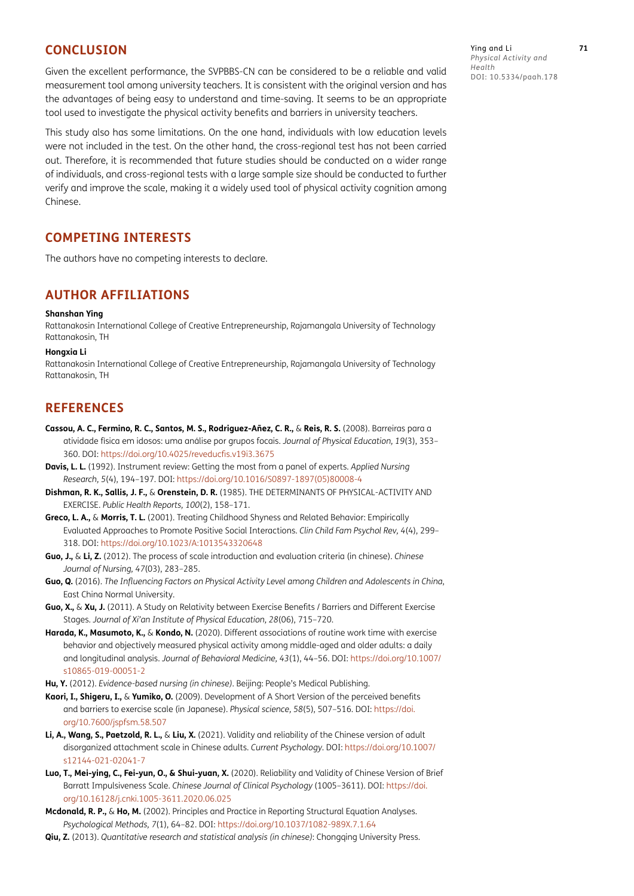#### **CONCLUSION**

Given the excellent performance, the SVPBBS-CN can be considered to be a reliable and valid measurement tool among university teachers. It is consistent with the original version and has the advantages of being easy to understand and time-saving. It seems to be an appropriate tool used to investigate the physical activity benefits and barriers in university teachers.

This study also has some limitations. On the one hand, individuals with low education levels were not included in the test. On the other hand, the cross-regional test has not been carried out. Therefore, it is recommended that future studies should be conducted on a wider range of individuals, and cross-regional tests with a large sample size should be conducted to further verify and improve the scale, making it a widely used tool of physical activity cognition among Chinese.

#### **COMPETING INTERESTS**

The authors have no competing interests to declare.

#### <span id="page-7-0"></span>**AUTHOR AFFILIATIONS**

#### **Shanshan Ying**

Rattanakosin International College of Creative Entrepreneurship, Rajamangala University of Technology Rattanakosin, TH

#### **Hongxia Li**

Rattanakosin International College of Creative Entrepreneurship, Rajamangala University of Technology Rattanakosin, TH

#### **REFERENCES**

- **Cassou, A. C., Fermino, R. C., Santos, M. S., Rodriguez-Añez, C. R.,** & **Reis, R. S.** (2008). Barreiras para a atividade física em idosos: uma análise por grupos focais. *Journal of Physical Education, 19*(3), 353– 360. DOI: [https://doi.org/10.4025/reveducfis.v19i3.3675](https://doi.org/10.4025/reveducfis.v19i3.3675 )
- <span id="page-7-8"></span>**Davis, L. L.** (1992). Instrument review: Getting the most from a panel of experts. *Applied Nursing Research, 5*(4), 194–197. DOI: [https://doi.org/10.1016/S0897-1897\(05\)80008-4](https://doi.org/10.1016/S0897-1897(05)80008-4 )
- <span id="page-7-1"></span>**Dishman, R. K., Sallis, J. F.,** & **Orenstein, D. R.** (1985). THE DETERMINANTS OF PHYSICAL-ACTIVITY AND EXERCISE. *Public Health Reports, 100*(2), 158–171.
- <span id="page-7-13"></span>**Greco, L. A.,** & **Morris, T. L.** (2001). Treating Childhood Shyness and Related Behavior: Empirically Evaluated Approaches to Promote Positive Social Interactions. *Clin Child Fam Psychol Rev, 4*(4), 299– 318. DOI: [https://doi.org/10.1023/A:1013543320648](https://doi.org/10.1023/A:1013543320648 )
- <span id="page-7-6"></span>**Guo, J.,** & **Li, Z.** (2012). The process of scale introduction and evaluation criteria (in chinese). *Chinese Journal of Nursing, 47*(03), 283–285.
- <span id="page-7-4"></span>**Guo, Q.** (2016). *The Influencing Factors on Physical Activity Level among Children and Adolescents in China*, East China Normal University.
- <span id="page-7-3"></span>**Guo, X.,** & **Xu, J.** (2011). A Study on Relativity between Exercise Benefits / Barriers and Different Exercise Stages. *Journal of Xi'an Institute of Physical Education, 28*(06), 715–720.
- <span id="page-7-5"></span>**Harada, K., Masumoto, K.,** & **Kondo, N.** (2020). Different associations of routine work time with exercise behavior and objectively measured physical activity among middle-aged and older adults: a daily and longitudinal analysis. *Journal of Behavioral Medicine, 43*(1), 44–56. DOI: [https://doi.org/10.1007/](https://doi.org/10.1007/s10865-019-00051-2 ) [s10865-019-00051-2](https://doi.org/10.1007/s10865-019-00051-2 )
- <span id="page-7-12"></span>**Hu, Y.** (2012). *Evidence-based nursing (in chinese)*. Beijing: People's Medical Publishing.
- <span id="page-7-2"></span>**Kaori, I., Shigeru, I.,** & **Yumiko, O.** (2009). Development of A Short Version of the perceived benefits and barriers to exercise scale (in Japanese). *Physical science, 58*(5), 507–516. DOI: [https://doi.](https://doi.org/10.7600/jspfsm.58.507 ) [org/10.7600/jspfsm.58.507](https://doi.org/10.7600/jspfsm.58.507 )
- <span id="page-7-10"></span>**Li, A., Wang, S., Paetzold, R. L.,** & **Liu, X.** (2021). Validity and reliability of the Chinese version of adult disorganized attachment scale in Chinese adults. *Current Psychology*. DOI: [https://doi.org/10.1007/](https://doi.org/10.1007/s12144-021-02041-7 ) [s12144-021-02041-7](https://doi.org/10.1007/s12144-021-02041-7 )
- <span id="page-7-7"></span>**Luo, T., Mei-ying, C., Fei-yun, O., & Shui-yuan, X.** (2020). Reliability and Validity of Chinese Version of Brief Barratt Impulsiveness Scale. *Chinese Journal of Clinical Psychology* (1005–3611). DOI: [https://doi.](https://doi.org/10.16128/j.cnki.1005-3611.2020.06.025 ) [org/10.16128/j.cnki.1005-3611.2020.06.025](https://doi.org/10.16128/j.cnki.1005-3611.2020.06.025 )
- <span id="page-7-9"></span>**Mcdonald, R. P.,** & **Ho, M.** (2002). Principles and Practice in Reporting Structural Equation Analyses. *Psychological Methods, 7*(1), 64–82. DOI: [https://doi.org/10.1037/1082-989X.7.1.64](https://doi.org/10.1037/1082-989X.7.1.64 )
- <span id="page-7-11"></span>**Qiu, Z.** (2013). *Quantitative research and statistical analysis (in chinese)*: Chongqing University Press.

Ying and Li **71** *Physical Activity and Health* DOI: 10.5334/paah.178